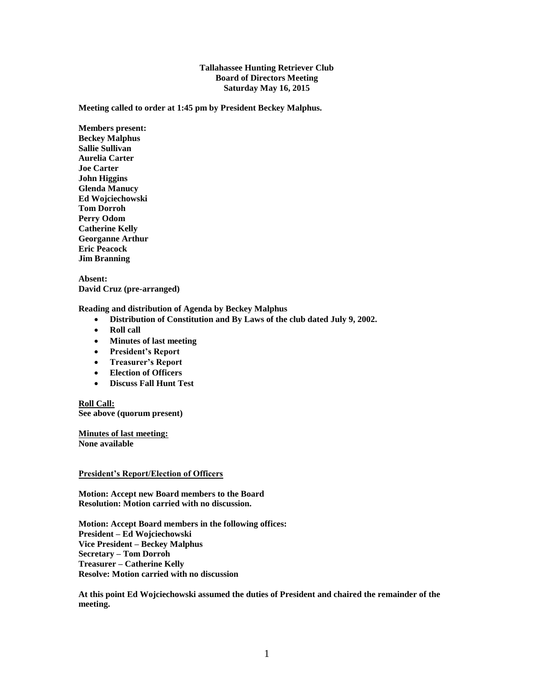## **Tallahassee Hunting Retriever Club Board of Directors Meeting Saturday May 16, 2015**

**Meeting called to order at 1:45 pm by President Beckey Malphus.**

**Members present: Beckey Malphus Sallie Sullivan Aurelia Carter Joe Carter John Higgins Glenda Manucy Ed Wojciechowski Tom Dorroh Perry Odom Catherine Kelly Georganne Arthur Eric Peacock Jim Branning**

**Absent: David Cruz (pre-arranged)**

**Reading and distribution of Agenda by Beckey Malphus**

- **Distribution of Constitution and By Laws of the club dated July 9, 2002.**
- Roll call
- **Minutes of last meeting**
- **President's Report**
- **Treasurer's Report**
- **Election of Officers**
- **Discuss Fall Hunt Test**

**Roll Call: See above (quorum present)**

**Minutes of last meeting: None available**

## **President's Report/Election of Officers**

**Motion: Accept new Board members to the Board Resolution: Motion carried with no discussion.**

**Motion: Accept Board members in the following offices: President – Ed Wojciechowski Vice President – Beckey Malphus Secretary – Tom Dorroh Treasurer – Catherine Kelly Resolve: Motion carried with no discussion**

**At this point Ed Wojciechowski assumed the duties of President and chaired the remainder of the meeting.**